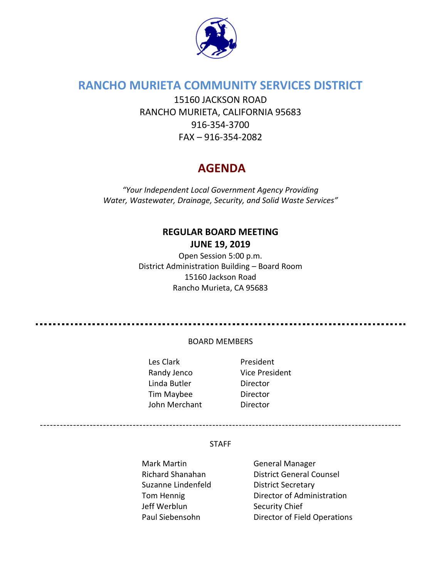

# **RANCHO MURIETA COMMUNITY SERVICES DISTRICT**

15160 JACKSON ROAD RANCHO MURIETA, CALIFORNIA 95683 916-354-3700 FAX – 916-354-2082

# **AGENDA**

*"Your Independent Local Government Agency Providing Water, Wastewater, Drainage, Security, and Solid Waste Services"*

# **REGULAR BOARD MEETING JUNE 19, 2019**

Open Session 5:00 p.m. District Administration Building – Board Room 15160 Jackson Road Rancho Murieta, CA 95683

#### BOARD MEMBERS

- Les Clark **President** Randy Jenco Vice President Linda Butler Director Tim Maybee Director John Merchant Director
	-

#### STAFF

- Mark Martin General Manager Suzanne Lindenfeld District Secretary Jeff Werblun Security Chief
- Richard Shanahan District General Counsel Tom Hennig **Director of Administration** Paul Siebensohn Director of Field Operations

-------------------------------------------------------------------------------------------------------------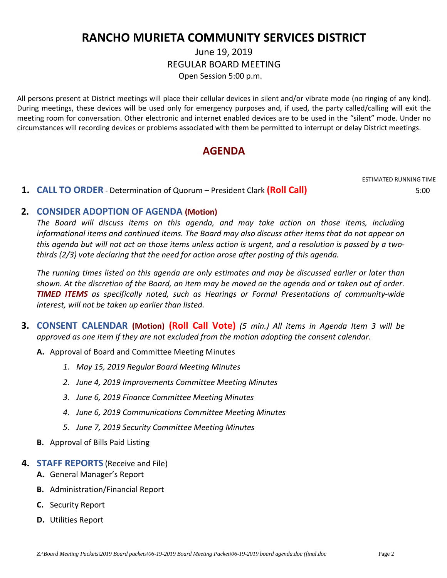# **RANCHO MURIETA COMMUNITY SERVICES DISTRICT**

## June 19, 2019 REGULAR BOARD MEETING Open Session 5:00 p.m.

All persons present at District meetings will place their cellular devices in silent and/or vibrate mode (no ringing of any kind). During meetings, these devices will be used only for emergency purposes and, if used, the party called/calling will exit the meeting room for conversation. Other electronic and internet enabled devices are to be used in the "silent" mode. Under no circumstances will recording devices or problems associated with them be permitted to interrupt or delay District meetings.

# **AGENDA**

# ESTIMATED RUNNING TIME

#### **1. CALL TO ORDER** - Determination of Quorum – President Clark **(Roll Call)** 5:00

## **2. CONSIDER ADOPTION OF AGENDA (Motion)**

*The Board will discuss items on this agenda, and may take action on those items, including informational items and continued items. The Board may also discuss other items that do not appear on this agenda but will not act on those items unless action is urgent, and a resolution is passed by a twothirds (2/3) vote declaring that the need for action arose after posting of this agenda.*

*The running times listed on this agenda are only estimates and may be discussed earlier or later than shown. At the discretion of the Board, an item may be moved on the agenda and or taken out of order. TIMED ITEMS as specifically noted, such as Hearings or Formal Presentations of community-wide interest, will not be taken up earlier than listed.*

- **3. CONSENT CALENDAR (Motion) (Roll Call Vote)** *(5 min.) All items in Agenda Item 3 will be approved as one item if they are not excluded from the motion adopting the consent calendar*.
	- **A.** Approval of Board and Committee Meeting Minutes
		- *1. May 15, 2019 Regular Board Meeting Minutes*
		- *2. June 4, 2019 Improvements Committee Meeting Minutes*
		- *3. June 6, 2019 Finance Committee Meeting Minutes*
		- *4. June 6, 2019 Communications Committee Meeting Minutes*
		- *5. June 7, 2019 Security Committee Meeting Minutes*
	- **B.** Approval of Bills Paid Listing
- **4. STAFF REPORTS** (Receive and File)
	- **A.** General Manager's Report
	- **B.** Administration/Financial Report
	- **C.** Security Report
	- **D.** Utilities Report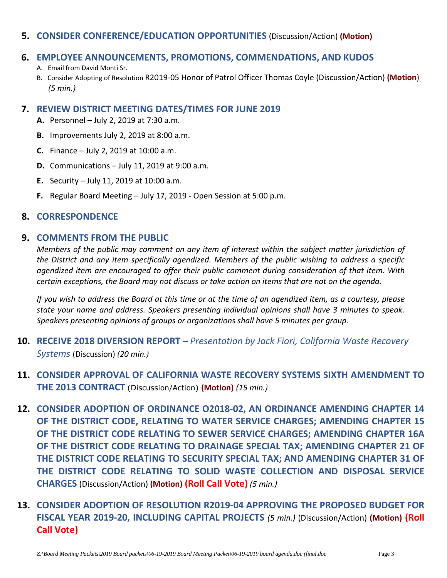### **5. CONSIDER CONFERENCE/EDUCATION OPPORTUNITIES** (Discussion/Action) **(Motion)**

### **6. EMPLOYEE ANNOUNCEMENTS, PROMOTIONS, COMMENDATIONS, AND KUDOS**

- A. Email from David Monti Sr.
- B. Consider Adopting of Resolution R2019-05 Honor of Patrol Officer Thomas Coyle (Discussion/Action) **(Motion**) *(5 min.)*

### **7. REVIEW DISTRICT MEETING DATES/TIMES FOR JUNE 2019**

- **A.** Personnel July 2, 2019 at 7:30 a.m.
- **B.** Improvements July 2, 2019 at 8:00 a.m.
- **C.** Finance July 2, 2019 at 10:00 a.m.
- **D.** Communications July 11, 2019 at 9:00 a.m.
- **E.** Security July 11, 2019 at 10:00 a.m.
- **F.** Regular Board Meeting July 17, 2019 Open Session at 5:00 p.m.

## **8. CORRESPONDENCE**

## **9. COMMENTS FROM THE PUBLIC**

*Members of the public may comment on any item of interest within the subject matter jurisdiction of the District and any item specifically agendized. Members of the public wishing to address a specific agendized item are encouraged to offer their public comment during consideration of that item. With certain exceptions, the Board may not discuss or take action on items that are not on the agenda.* 

*If you wish to address the Board at this time or at the time of an agendized item, as a courtesy, please state your name and address. Speakers presenting individual opinions shall have 3 minutes to speak. Speakers presenting opinions of groups or organizations shall have 5 minutes per group.*

- **10. RECEIVE 2018 DIVERSION REPORT –** *Presentation by Jack Fiori, California Waste Recovery Systems* (Discussion) *(20 min.)*
- **11. CONSIDER APPROVAL OF CALIFORNIA WASTE RECOVERY SYSTEMS SIXTH AMENDMENT TO THE 2013 CONTRACT** (Discussion/Action) **(Motion)** *(15 min.)*
- **12. CONSIDER ADOPTION OF ORDINANCE O2018-02, AN ORDINANCE AMENDING CHAPTER 14 OF THE DISTRICT CODE, RELATING TO WATER SERVICE CHARGES; AMENDING CHAPTER 15 OF THE DISTRICT CODE RELATING TO SEWER SERVICE CHARGES; AMENDING CHAPTER 16A OF THE DISTRICT CODE RELATING TO DRAINAGE SPECIAL TAX; AMENDING CHAPTER 21 OF THE DISTRICT CODE RELATING TO SECURITY SPECIAL TAX; AND AMENDING CHAPTER 31 OF THE DISTRICT CODE RELATING TO SOLID WASTE COLLECTION AND DISPOSAL SERVICE CHARGES** (Discussion/Action) **(Motion) (Roll Call Vote)** *(5 min.)*
- **13. CONSIDER ADOPTION OF RESOLUTION R2019-04 APPROVING THE PROPOSED BUDGET FOR FISCAL YEAR 2019-20, INCLUDING CAPITAL PROJECTS** *(5 min.)* (Discussion/Action) **(Motion) (Roll Call Vote)**